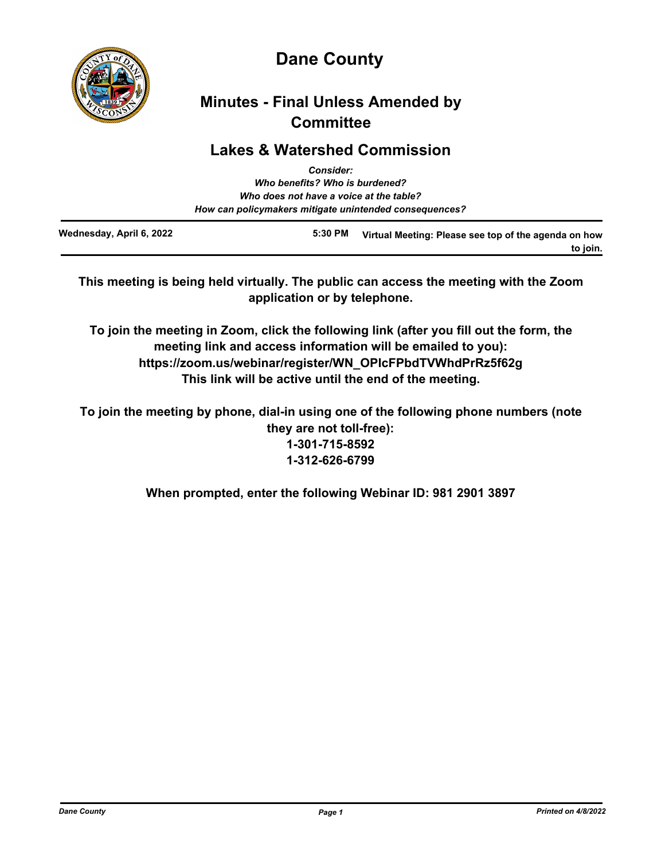

# **Dane County**

## **Minutes - Final Unless Amended by Committee**

### **Lakes & Watershed Commission**

|                          | <b>Consider:</b>                                       |                                                      |
|--------------------------|--------------------------------------------------------|------------------------------------------------------|
|                          | Who benefits? Who is burdened?                         |                                                      |
|                          | Who does not have a voice at the table?                |                                                      |
|                          | How can policymakers mitigate unintended consequences? |                                                      |
| Wednesday, April 6, 2022 | 5:30 PM                                                | Virtual Meeting: Please see top of the agenda on how |

**This meeting is being held virtually. The public can access the meeting with the Zoom application or by telephone.**

**To join the meeting in Zoom, click the following link (after you fill out the form, the meeting link and access information will be emailed to you): https://zoom.us/webinar/register/WN\_OPIcFPbdTVWhdPrRz5f62g This link will be active until the end of the meeting.**

**To join the meeting by phone, dial-in using one of the following phone numbers (note they are not toll-free): 1-301-715-8592 1-312-626-6799**

**When prompted, enter the following Webinar ID: 981 2901 3897**

**to join.**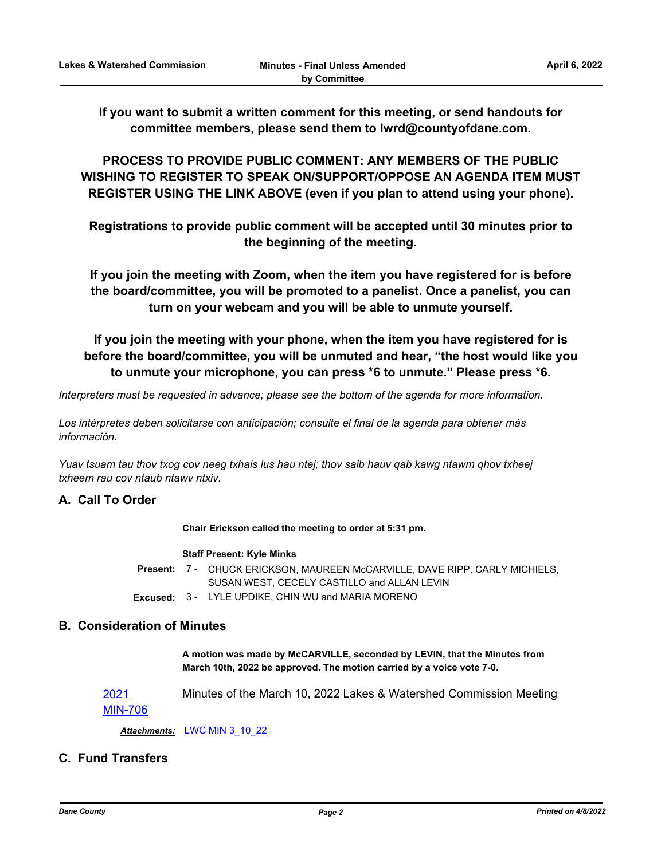**If you want to submit a written comment for this meeting, or send handouts for committee members, please send them to lwrd@countyofdane.com.**

**PROCESS TO PROVIDE PUBLIC COMMENT: ANY MEMBERS OF THE PUBLIC WISHING TO REGISTER TO SPEAK ON/SUPPORT/OPPOSE AN AGENDA ITEM MUST REGISTER USING THE LINK ABOVE (even if you plan to attend using your phone).**

**Registrations to provide public comment will be accepted until 30 minutes prior to the beginning of the meeting.**

**If you join the meeting with Zoom, when the item you have registered for is before the board/committee, you will be promoted to a panelist. Once a panelist, you can turn on your webcam and you will be able to unmute yourself.**

**If you join the meeting with your phone, when the item you have registered for is before the board/committee, you will be unmuted and hear, "the host would like you to unmute your microphone, you can press \*6 to unmute." Please press \*6.**

*Interpreters must be requested in advance; please see the bottom of the agenda for more information.*

*Los intérpretes deben solicitarse con anticipación; consulte el final de la agenda para obtener más información.*

*Yuav tsuam tau thov txog cov neeg txhais lus hau ntej; thov saib hauv qab kawg ntawm qhov txheej txheem rau cov ntaub ntawv ntxiv.*

#### **A. Call To Order**

**Chair Erickson called the meeting to order at 5:31 pm.**

#### **Staff Present: Kyle Minks**

Present: 7 - CHUCK ERICKSON, MAUREEN McCARVILLE, DAVE RIPP, CARLY MICHIELS, SUSAN WEST, CECELY CASTILLO and ALLAN LEVIN

**Excused:** 3 - LYLE UPDIKE, CHIN WU and MARIA MORENO

#### **B. Consideration of Minutes**

**A motion was made by McCARVILLE, seconded by LEVIN, that the Minutes from March 10th, 2022 be approved. The motion carried by a voice vote 7-0.**

2021 [MIN-706](http://dane.legistar.com/gateway.aspx?m=l&id=/matter.aspx?key=22545) Minutes of the March 10, 2022 Lakes & Watershed Commission Meeting

*Attachments:* [LWC MIN 3\\_10\\_22](http://dane.legistar.com/gateway.aspx?M=F&ID=7db3068c-8576-415a-8664-e4bb13167b5a.pdf)

### **C. Fund Transfers**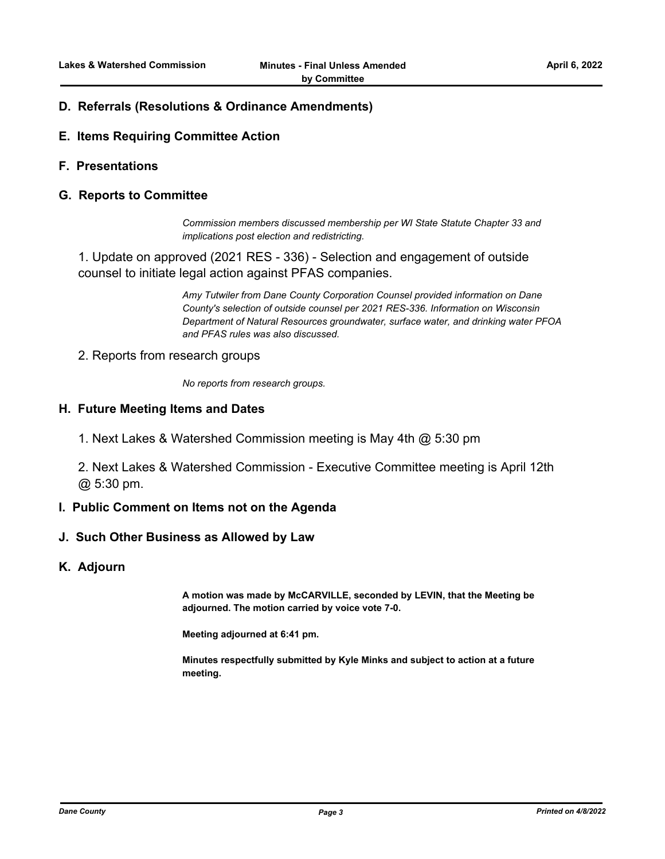#### **D. Referrals (Resolutions & Ordinance Amendments)**

- **E. Items Requiring Committee Action**
- **F. Presentations**

#### **G. Reports to Committee**

*Commission members discussed membership per WI State Statute Chapter 33 and implications post election and redistricting.*

1. Update on approved (2021 RES - 336) - Selection and engagement of outside counsel to initiate legal action against PFAS companies.

> *Amy Tutwiler from Dane County Corporation Counsel provided information on Dane County's selection of outside counsel per 2021 RES-336. Information on Wisconsin Department of Natural Resources groundwater, surface water, and drinking water PFOA and PFAS rules was also discussed.*

2. Reports from research groups

*No reports from research groups.*

#### **H. Future Meeting Items and Dates**

1. Next Lakes & Watershed Commission meeting is May 4th @ 5:30 pm

2. Next Lakes & Watershed Commission - Executive Committee meeting is April 12th @ 5:30 pm.

#### **I. Public Comment on Items not on the Agenda**

#### **J. Such Other Business as Allowed by Law**

#### **K. Adjourn**

**A motion was made by McCARVILLE, seconded by LEVIN, that the Meeting be adjourned. The motion carried by voice vote 7-0.**

**Meeting adjourned at 6:41 pm.**

**Minutes respectfully submitted by Kyle Minks and subject to action at a future meeting.**